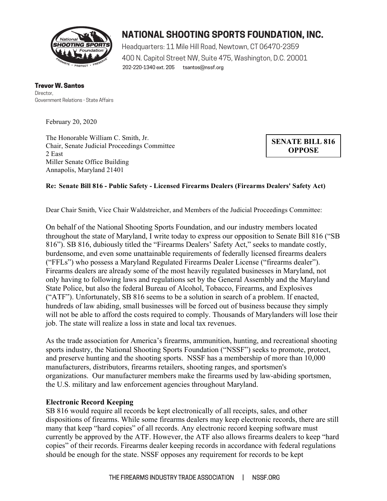

# **NATIONAL SHOOTING SPORTS FOUNDATION, INC.**

202-220-1340 ext. 205 tsantos@nssf.org Headquarters: 11 Mile Hill Road, Newtown, CT 06470-2359 400 N. Capitol Street NW, Suite 475, Washington, D.C. 20001

Trevor W. Santos **Director** Government Relations - State Affairs

February 20, 2020

The Honorable William C. Smith, Jr. Chair, Senate Judicial Proceedings Committee 2 East Miller Senate Office Building Annapolis, Maryland 21401

**SENATE BILL 816 OPPOSE**

## **Re: Senate Bill 816 - Public Safety - Licensed Firearms Dealers (Firearms Dealers' Safety Act)**

Dear Chair Smith, Vice Chair Waldstreicher, and Members of the Judicial Proceedings Committee:

On behalf of the National Shooting Sports Foundation, and our industry members located throughout the state of Maryland, I write today to express our opposition to Senate Bill 816 ("SB 816"). SB 816, dubiously titled the "Firearms Dealers' Safety Act," seeks to mandate costly, burdensome, and even some unattainable requirements of federally licensed firearms dealers ("FFLs") who possess a Maryland Regulated Firearms Dealer License ("firearms dealer"). Firearms dealers are already some of the most heavily regulated businesses in Maryland, not only having to following laws and regulations set by the General Assembly and the Maryland State Police, but also the federal Bureau of Alcohol, Tobacco, Firearms, and Explosives ("ATF"). Unfortunately, SB 816 seems to be a solution in search of a problem. If enacted, hundreds of law abiding, small businesses will be forced out of business because they simply will not be able to afford the costs required to comply. Thousands of Marylanders will lose their job. The state will realize a loss in state and local tax revenues.

As the trade association for America's firearms, ammunition, hunting, and recreational shooting sports industry, the National Shooting Sports Foundation ("NSSF") seeks to promote, protect, and preserve hunting and the shooting sports. NSSF has a membership of more than 10,000 manufacturers, distributors, firearms retailers, shooting ranges, and sportsmen's organizations. Our manufacturer members make the firearms used by law-abiding sportsmen, the U.S. military and law enforcement agencies throughout Maryland.

#### **Electronic Record Keeping**

SB 816 would require all records be kept electronically of all receipts, sales, and other dispositions of firearms. While some firearms dealers may keep electronic records, there are still many that keep "hard copies" of all records. Any electronic record keeping software must currently be approved by the ATF. However, the ATF also allows firearms dealers to keep "hard copies" of their records. Firearms dealer keeping records in accordance with federal regulations should be enough for the state. NSSF opposes any requirement for records to be kept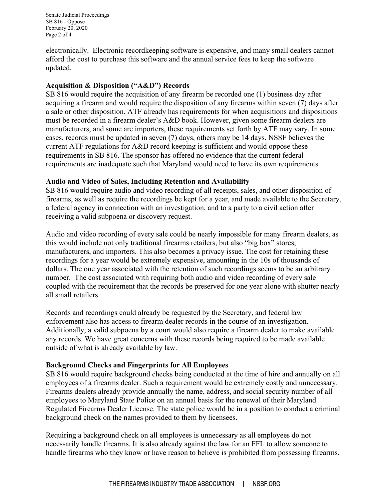Senate Judicial Proceedings SB 816 - Oppose February 20, 2020 Page 2 of 4

electronically. Electronic recordkeeping software is expensive, and many small dealers cannot afford the cost to purchase this software and the annual service fees to keep the software updated.

#### **Acquisition & Disposition ("A&D") Records**

SB 816 would require the acquisition of any firearm be recorded one (1) business day after acquiring a firearm and would require the disposition of any firearms within seven (7) days after a sale or other disposition. ATF already has requirements for when acquisitions and dispositions must be recorded in a firearm dealer's A&D book. However, given some firearm dealers are manufacturers, and some are importers, these requirements set forth by ATF may vary. In some cases, records must be updated in seven (7) days, others may be 14 days. NSSF believes the current ATF regulations for A&D record keeping is sufficient and would oppose these requirements in SB 816. The sponsor has offered no evidence that the current federal requirements are inadequate such that Maryland would need to have its own requirements.

## **Audio and Video of Sales, Including Retention and Availability**

SB 816 would require audio and video recording of all receipts, sales, and other disposition of firearms, as well as require the recordings be kept for a year, and made available to the Secretary, a federal agency in connection with an investigation, and to a party to a civil action after receiving a valid subpoena or discovery request.

Audio and video recording of every sale could be nearly impossible for many firearm dealers, as this would include not only traditional firearms retailers, but also "big box" stores, manufacturers, and importers. This also becomes a privacy issue. The cost for retaining these recordings for a year would be extremely expensive, amounting in the 10s of thousands of dollars. The one year associated with the retention of such recordings seems to be an arbitrary number. The cost associated with requiring both audio and video recording of every sale coupled with the requirement that the records be preserved for one year alone with shutter nearly all small retailers.

Records and recordings could already be requested by the Secretary, and federal law enforcement also has access to firearm dealer records in the course of an investigation. Additionally, a valid subpoena by a court would also require a firearm dealer to make available any records. We have great concerns with these records being required to be made available outside of what is already available by law.

## **Background Checks and Fingerprints for All Employees**

SB 816 would require background checks being conducted at the time of hire and annually on all employees of a firearms dealer. Such a requirement would be extremely costly and unnecessary. Firearms dealers already provide annually the name, address, and social security number of all employees to Maryland State Police on an annual basis for the renewal of their Maryland Regulated Firearms Dealer License. The state police would be in a position to conduct a criminal background check on the names provided to them by licensees.

Requiring a background check on all employees is unnecessary as all employees do not necessarily handle firearms. It is also already against the law for an FFL to allow someone to handle firearms who they know or have reason to believe is prohibited from possessing firearms.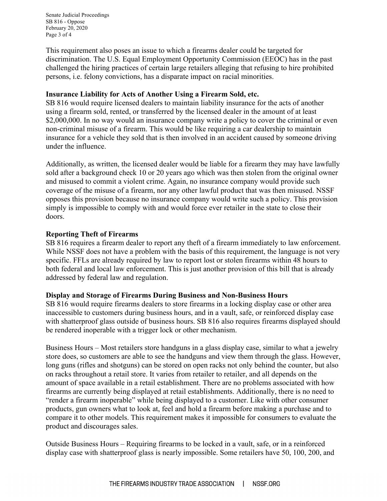Senate Judicial Proceedings SB 816 - Oppose February 20, 2020 Page 3 of 4

This requirement also poses an issue to which a firearms dealer could be targeted for discrimination. The U.S. Equal Employment Opportunity Commission (EEOC) has in the past challenged the hiring practices of certain large retailers alleging that refusing to hire prohibited persons, i.e. felony convictions, has a disparate impact on racial minorities.

#### **Insurance Liability for Acts of Another Using a Firearm Sold, etc.**

SB 816 would require licensed dealers to maintain liability insurance for the acts of another using a firearm sold, rented, or transferred by the licensed dealer in the amount of at least \$2,000,000. In no way would an insurance company write a policy to cover the criminal or even non-criminal misuse of a firearm. This would be like requiring a car dealership to maintain insurance for a vehicle they sold that is then involved in an accident caused by someone driving under the influence.

Additionally, as written, the licensed dealer would be liable for a firearm they may have lawfully sold after a background check 10 or 20 years ago which was then stolen from the original owner and misused to commit a violent crime. Again, no insurance company would provide such coverage of the misuse of a firearm, nor any other lawful product that was then misused. NSSF opposes this provision because no insurance company would write such a policy. This provision simply is impossible to comply with and would force ever retailer in the state to close their doors.

#### **Reporting Theft of Firearms**

SB 816 requires a firearm dealer to report any theft of a firearm immediately to law enforcement. While NSSF does not have a problem with the basis of this requirement, the language is not very specific. FFLs are already required by law to report lost or stolen firearms within 48 hours to both federal and local law enforcement. This is just another provision of this bill that is already addressed by federal law and regulation.

## **Display and Storage of Firearms During Business and Non-Business Hours**

SB 816 would require firearms dealers to store firearms in a locking display case or other area inaccessible to customers during business hours, and in a vault, safe, or reinforced display case with shatterproof glass outside of business hours. SB 816 also requires firearms displayed should be rendered inoperable with a trigger lock or other mechanism.

Business Hours – Most retailers store handguns in a glass display case, similar to what a jewelry store does, so customers are able to see the handguns and view them through the glass. However, long guns (rifles and shotguns) can be stored on open racks not only behind the counter, but also on racks throughout a retail store. It varies from retailer to retailer, and all depends on the amount of space available in a retail establishment. There are no problems associated with how firearms are currently being displayed at retail establishments. Additionally, there is no need to "render a firearm inoperable" while being displayed to a customer. Like with other consumer products, gun owners what to look at, feel and hold a firearm before making a purchase and to compare it to other models. This requirement makes it impossible for consumers to evaluate the product and discourages sales.

Outside Business Hours – Requiring firearms to be locked in a vault, safe, or in a reinforced display case with shatterproof glass is nearly impossible. Some retailers have 50, 100, 200, and